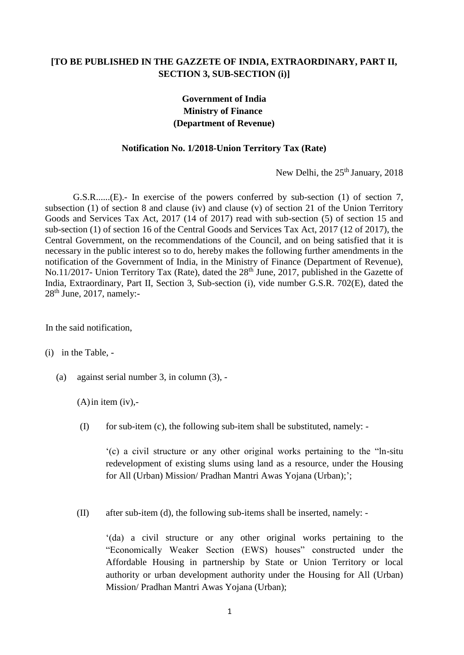## **[TO BE PUBLISHED IN THE GAZZETE OF INDIA, EXTRAORDINARY, PART II, SECTION 3, SUB-SECTION (i)]**

## **Government of India Ministry of Finance (Department of Revenue)**

## **Notification No. 1/2018-Union Territory Tax (Rate)**

New Delhi, the 25<sup>th</sup> January, 2018

G.S.R......(E).- In exercise of the powers conferred by sub-section (1) of section 7, subsection (1) of section 8 and clause (iv) and clause (v) of section 21 of the Union Territory Goods and Services Tax Act, 2017 (14 of 2017) read with sub-section (5) of section 15 and sub-section (1) of section 16 of the Central Goods and Services Tax Act, 2017 (12 of 2017), the Central Government, on the recommendations of the Council, and on being satisfied that it is necessary in the public interest so to do, hereby makes the following further amendments in the notification of the Government of India, in the Ministry of Finance (Department of Revenue), No.11/2017- Union Territory Tax (Rate), dated the 28<sup>th</sup> June, 2017, published in the Gazette of India, Extraordinary, Part II, Section 3, Sub-section (i), vide number G.S.R. 702(E), dated the  $28<sup>th</sup>$  June, 2017, namely:-

In the said notification,

(i) in the Table, -

(a) against serial number 3, in column (3), -

 $(A)$  in item (iv),-

(I) for sub-item (c), the following sub-item shall be substituted, namely: -

'(c) a civil structure or any other original works pertaining to the "ln-situ redevelopment of existing slums using land as a resource, under the Housing for All (Urban) Mission/ Pradhan Mantri Awas Yojana (Urban);';

(II) after sub-item (d), the following sub-items shall be inserted, namely: -

'(da) a civil structure or any other original works pertaining to the "Economically Weaker Section (EWS) houses" constructed under the Affordable Housing in partnership by State or Union Territory or local authority or urban development authority under the Housing for All (Urban) Mission/ Pradhan Mantri Awas Yojana (Urban);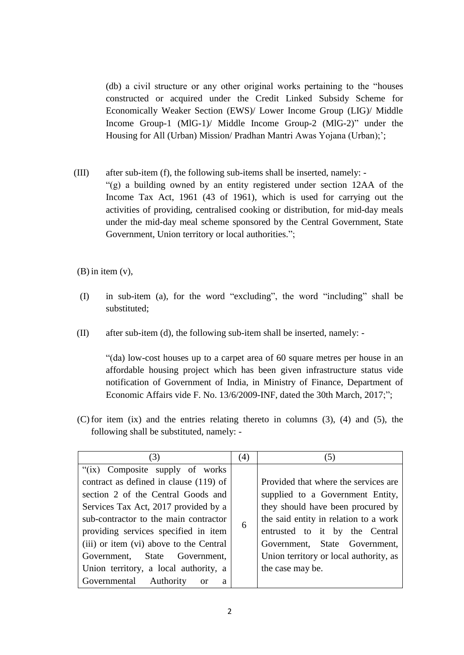(db) a civil structure or any other original works pertaining to the "houses constructed or acquired under the Credit Linked Subsidy Scheme for Economically Weaker Section (EWS)/ Lower Income Group (LIG)/ Middle Income Group-1 (MlG-1)/ Middle Income Group-2 (MlG-2)" under the Housing for All (Urban) Mission/ Pradhan Mantri Awas Yojana (Urban);';

(III) after sub-item (f), the following sub-items shall be inserted, namely: - "(g) a building owned by an entity registered under section 12AA of the Income Tax Act, 1961 (43 of 1961), which is used for carrying out the activities of providing, centralised cooking or distribution, for mid-day meals under the mid-day meal scheme sponsored by the Central Government, State Government, Union territory or local authorities.";

(B) in item (v),

- (I) in sub-item (a), for the word "excluding", the word "including" shall be substituted;
- (II) after sub-item (d), the following sub-item shall be inserted, namely: -

"(da) low-cost houses up to a carpet area of 60 square metres per house in an affordable housing project which has been given infrastructure status vide notification of Government of India, in Ministry of Finance, Department of Economic Affairs vide F. No. 13/6/2009-INF, dated the 30th March, 2017;";

(C) for item (ix) and the entries relating thereto in columns (3), (4) and (5), the following shall be substituted, namely: -

| (3)                                      | (4) | (5)                                    |
|------------------------------------------|-----|----------------------------------------|
| "(ix) Composite supply of works          |     |                                        |
| contract as defined in clause (119) of   |     | Provided that where the services are.  |
| section 2 of the Central Goods and       |     | supplied to a Government Entity,       |
| Services Tax Act, 2017 provided by a     |     | they should have been procured by      |
| sub-contractor to the main contractor    | 6   | the said entity in relation to a work  |
| providing services specified in item     |     | entrusted to it by the Central         |
| (iii) or item (vi) above to the Central  |     | Government, State Government,          |
| Government, State Government,            |     | Union territory or local authority, as |
| Union territory, a local authority, a    |     | the case may be.                       |
| Governmental Authority<br><b>or</b><br>a |     |                                        |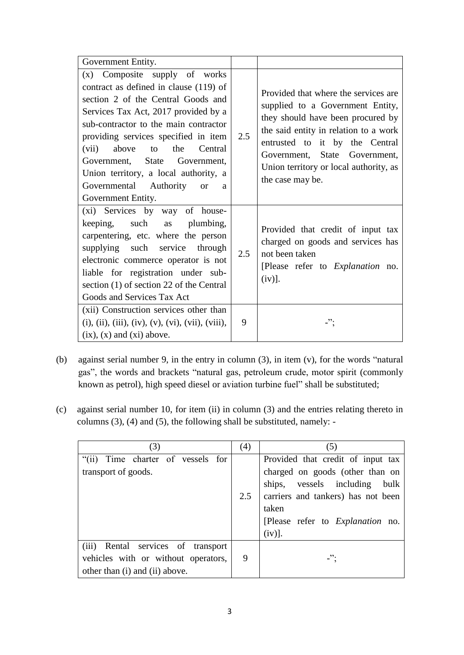| Government Entity.                                                                                                                                                                                                                                                                                                                                                                                                           |     |                                                                                                                                                                                                                                                                                          |
|------------------------------------------------------------------------------------------------------------------------------------------------------------------------------------------------------------------------------------------------------------------------------------------------------------------------------------------------------------------------------------------------------------------------------|-----|------------------------------------------------------------------------------------------------------------------------------------------------------------------------------------------------------------------------------------------------------------------------------------------|
| (x) Composite supply of works<br>contract as defined in clause (119) of<br>section 2 of the Central Goods and<br>Services Tax Act, 2017 provided by a<br>sub-contractor to the main contractor<br>providing services specified in item<br>Central<br>(vii)<br>above<br>the<br>to<br>Government, State Government,<br>Union territory, a local authority, a<br>Governmental Authority<br><b>or</b><br>a<br>Government Entity. | 2.5 | Provided that where the services are.<br>supplied to a Government Entity,<br>they should have been procured by<br>the said entity in relation to a work<br>entrusted to it by the Central<br>Government, State Government,<br>Union territory or local authority, as<br>the case may be. |
| (xi) Services by way of house-<br>keeping, such as plumbing,<br>carpentering, etc. where the person<br>supplying such service through<br>electronic commerce operator is not<br>liable for registration under sub-<br>section (1) of section 22 of the Central<br>Goods and Services Tax Act                                                                                                                                 | 2.5 | Provided that credit of input tax<br>charged on goods and services has<br>not been taken<br>[Please refer to <i>Explanation</i> no.<br>(iv)].                                                                                                                                            |
| (xii) Construction services other than<br>(i), (ii), (iii), (iv), (v), (vi), (vii), (viii),<br>$(ix), (x)$ and $(xi)$ above.                                                                                                                                                                                                                                                                                                 | 9   | -";                                                                                                                                                                                                                                                                                      |

- (b) against serial number 9, in the entry in column (3), in item (v), for the words "natural gas", the words and brackets "natural gas, petroleum crude, motor spirit (commonly known as petrol), high speed diesel or aviation turbine fuel" shall be substituted;
- (c) against serial number 10, for item (ii) in column (3) and the entries relating thereto in columns (3), (4) and (5), the following shall be substituted, namely: -

| (3)                                      | (4) | (5)                                     |
|------------------------------------------|-----|-----------------------------------------|
| Time charter of vessels for<br>$\lq(ii)$ |     | Provided that credit of input tax       |
| transport of goods.                      |     | charged on goods (other than on         |
|                                          |     | ships, vessels including<br>bulk        |
|                                          | 2.5 | carriers and tankers) has not been      |
|                                          |     | taken                                   |
|                                          |     | [Please refer to <i>Explanation</i> no. |
|                                          |     | $(iv)$ ].                               |
| (iii) Rental services of transport       |     |                                         |
| vehicles with or without operators,      | 9   |                                         |
| other than (i) and (ii) above.           |     |                                         |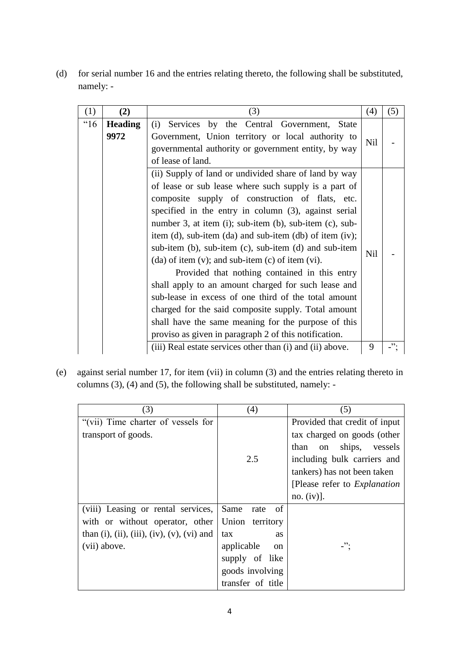(d) for serial number 16 and the entries relating thereto, the following shall be substituted, namely: -

| (1)  | (2)                    | (3)                                                                                                                                                                                                                                                                                                                                                                                                                                                                                                                                                                                                                                                                                                                                                                                                                         | (4)        | (5) |
|------|------------------------|-----------------------------------------------------------------------------------------------------------------------------------------------------------------------------------------------------------------------------------------------------------------------------------------------------------------------------------------------------------------------------------------------------------------------------------------------------------------------------------------------------------------------------------------------------------------------------------------------------------------------------------------------------------------------------------------------------------------------------------------------------------------------------------------------------------------------------|------------|-----|
| "16" | <b>Heading</b><br>9972 | Services by the Central Government, State<br>(i)<br>Government, Union territory or local authority to<br>governmental authority or government entity, by way<br>of lease of land.                                                                                                                                                                                                                                                                                                                                                                                                                                                                                                                                                                                                                                           | <b>Nil</b> |     |
|      |                        | (ii) Supply of land or undivided share of land by way<br>of lease or sub lease where such supply is a part of<br>composite supply of construction of flats, etc.<br>specified in the entry in column (3), against serial<br>number 3, at item (i); sub-item (b), sub-item (c), sub-<br>item (d), sub-item (da) and sub-item (db) of item (iv);<br>sub-item $(b)$ , sub-item $(c)$ , sub-item $(d)$ and sub-item<br>Nil<br>$(da)$ of item $(v)$ ; and sub-item $(c)$ of item $(vi)$ .<br>Provided that nothing contained in this entry<br>shall apply to an amount charged for such lease and<br>sub-lease in excess of one third of the total amount<br>charged for the said composite supply. Total amount<br>shall have the same meaning for the purpose of this<br>proviso as given in paragraph 2 of this notification. |            |     |
|      |                        | (iii) Real estate services other than (i) and (ii) above.                                                                                                                                                                                                                                                                                                                                                                                                                                                                                                                                                                                                                                                                                                                                                                   | 9          | ".  |

(e) against serial number 17, for item (vii) in column (3) and the entries relating thereto in columns (3), (4) and (5), the following shall be substituted, namely: -

| (3)                                                         | (4)                         | (5)                                   |
|-------------------------------------------------------------|-----------------------------|---------------------------------------|
| "(vii) Time charter of vessels for                          |                             | Provided that credit of input         |
| transport of goods.                                         |                             | tax charged on goods (other           |
|                                                             |                             | than on ships,<br>vessels             |
|                                                             | 2.5                         | including bulk carriers and           |
|                                                             |                             | tankers) has not been taken           |
|                                                             |                             | [Please refer to <i>Explanation</i> ] |
|                                                             |                             | no. $(iv)$ ].                         |
| (viii) Leasing or rental services,                          | Same<br>rate<br>of          |                                       |
| with or without operator, other                             | Union territory             |                                       |
| than $(i)$ , $(ii)$ , $(iii)$ , $(iv)$ , $(v)$ , $(vi)$ and | tax<br><b>as</b>            |                                       |
| (vii) above.                                                | applicable<br><sub>on</sub> | -":                                   |
|                                                             | supply of like              |                                       |
|                                                             | goods involving             |                                       |
|                                                             | transfer of title           |                                       |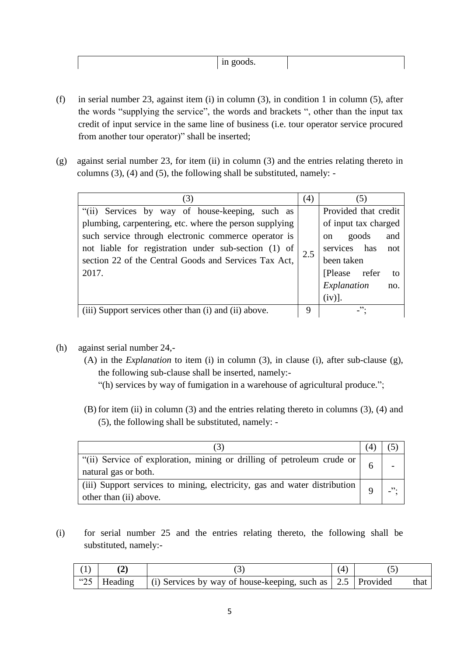|--|

- (f) in serial number 23, against item (i) in column (3), in condition 1 in column (5), after the words "supplying the service", the words and brackets ", other than the input tax credit of input service in the same line of business (i.e. tour operator service procured from another tour operator)" shall be inserted;
- (g) against serial number 23, for item (ii) in column (3) and the entries relating thereto in columns (3), (4) and (5), the following shall be substituted, namely: -

| (3)                                                     |     | (5)                           |
|---------------------------------------------------------|-----|-------------------------------|
| "(ii) Services by way of house-keeping, such as         |     | Provided that credit          |
| plumbing, carpentering, etc. where the person supplying |     | of input tax charged          |
| such service through electronic commerce operator is    |     | goods<br>and<br><sub>on</sub> |
| not liable for registration under sub-section (1) of    | 2.5 | services has<br>not           |
| section 22 of the Central Goods and Services Tax Act,   |     | been taken                    |
| 2017.                                                   |     | [Please refer]<br>- to        |
|                                                         |     | Explanation<br>no.            |
|                                                         |     | (iv)].                        |
| (iii) Support services other than (i) and (ii) above.   | 9   | ".                            |

- (h) against serial number 24,-
	- (A) in the *Explanation* to item (i) in column (3), in clause (i), after sub-clause (g), the following sub-clause shall be inserted, namely:-
		- "(h) services by way of fumigation in a warehouse of agricultural produce.";
	- (B) for item (ii) in column (3) and the entries relating thereto in columns (3), (4) and (5), the following shall be substituted, namely: -

| $\vert$ "(ii) Service of exploration, mining or drilling of petroleum crude or $\vert$<br>natural gas or both.                                     |  |  |
|----------------------------------------------------------------------------------------------------------------------------------------------------|--|--|
| (iii) Support services to mining, electricity, gas and water distribution $\begin{bmatrix} 0 & 1 \\ 0 & 0 \end{bmatrix}$<br>other than (ii) above. |  |  |

(i) for serial number 25 and the entries relating thereto, the following shall be substituted, namely:-

|               |                                                                              | $\mathcal{A}$ |      |
|---------------|------------------------------------------------------------------------------|---------------|------|
| "25   Heading | $\vert$ (i) Services by way of house-keeping, such as $\vert$ 2.5   Provided |               | that |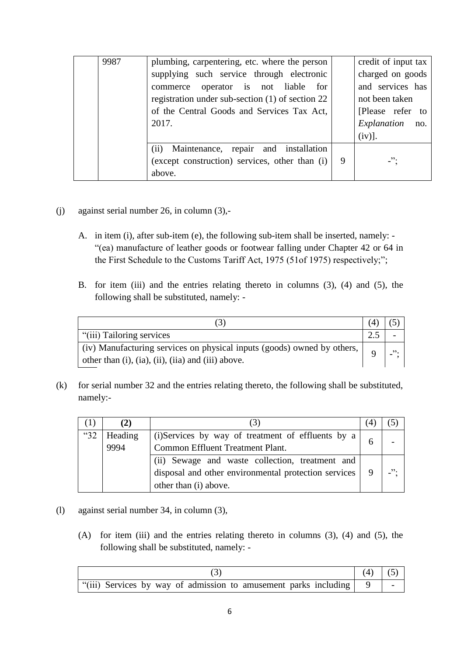| 9987 | plumbing, carpentering, etc. where the person<br>supplying such service through electronic<br>operator is not<br>liable for<br>commerce<br>registration under sub-section (1) of section 22<br>of the Central Goods and Services Tax Act,<br>2017. |   | credit of input tax<br>charged on goods<br>and services has<br>not been taken<br>[Please refer to<br>Explanation<br>no.<br>(iv)]. |
|------|----------------------------------------------------------------------------------------------------------------------------------------------------------------------------------------------------------------------------------------------------|---|-----------------------------------------------------------------------------------------------------------------------------------|
|      | Maintenance, repair and installation<br>(ii)<br>(except construction) services, other than (i)<br>above.                                                                                                                                           | 9 | $-$ ":                                                                                                                            |

- (j) against serial number 26, in column (3),-
	- A. in item (i), after sub-item (e), the following sub-item shall be inserted, namely: "(ea) manufacture of leather goods or footwear falling under Chapter 42 or 64 in the First Schedule to the Customs Tariff Act, 1975 (51of 1975) respectively;";
	- B. for item (iii) and the entries relating thereto in columns (3), (4) and (5), the following shall be substituted, namely: -

| 3                                                                       |  |  |  |  |
|-------------------------------------------------------------------------|--|--|--|--|
| "(iii) Tailoring services                                               |  |  |  |  |
| (iv) Manufacturing services on physical inputs (goods) owned by others, |  |  |  |  |
| other than (i), (ia), (ii), (iia) and (iii) above.                      |  |  |  |  |

(k) for serial number 32 and the entries relating thereto, the following shall be substituted, namely:-

|      | (2)     | 2                                                    |     |
|------|---------|------------------------------------------------------|-----|
| "32" | Heading | (i) Services by way of treatment of effluents by a   |     |
|      | 9994    | Common Effluent Treatment Plant.                     |     |
|      |         | (ii) Sewage and waste collection, treatment and      |     |
|      |         | disposal and other environmental protection services | ,,, |
|      |         | other than (i) above.                                |     |

- (l) against serial number 34, in column (3),
	- (A) for item (iii) and the entries relating thereto in columns (3), (4) and (5), the following shall be substituted, namely: -

|                                                                      | $(4)$ (5) |  |
|----------------------------------------------------------------------|-----------|--|
| "(iii) Services by way of admission to amusement parks including   9 |           |  |